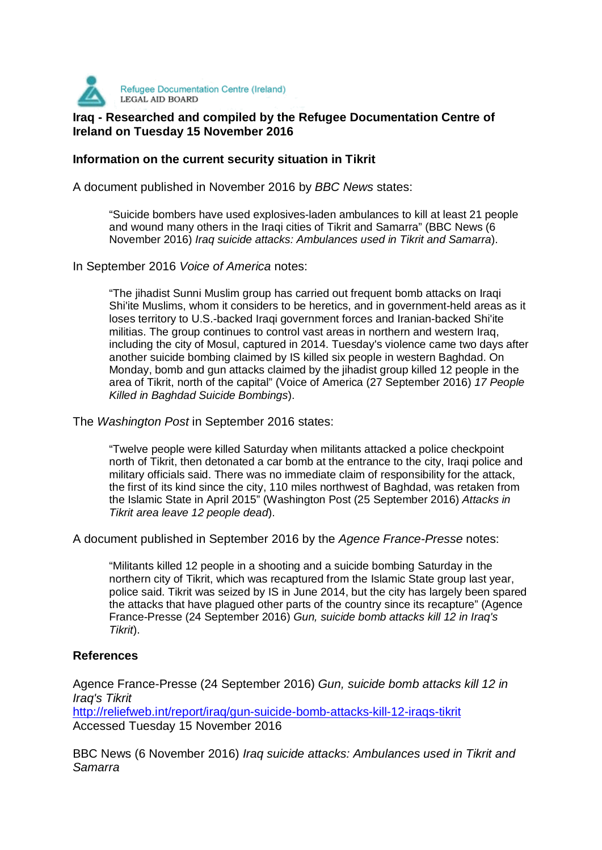

## **IFGAL AID BOARD**<br>Iraq - Researched and compiled by the Refugee Documentation Centre of **Ireland on Tuesday 15 November 2016**

## **Information on the current security situation in Tikrit**

A document published in November 2016 by BBC News states:

"Suicide bombers have used explosives-laden ambulances to kill at least 21 people and wound many others in the Iraqi cities of Tikrit and Samarra" (BBC News (6 November 2016) Iraq suicide attacks: Ambulances used in Tikrit and Samarra).

In September 2016 Voice of America notes:

"The jihadist Sunni Muslim group has carried out frequent bomb attacks on Iraqi Shi'ite Muslims, whom it considers to be heretics, and in government-held areas as it loses territory to U.S.-backed Iraqi government forces and Iranian-backed Shi'ite militias. The group continues to control vast areas in northern and western Iraq, including the city of Mosul, captured in 2014. Tuesday's violence came two days after another suicide bombing claimed by IS killed six people in western Baghdad. On Monday, bomb and gun attacks claimed by the jihadist group killed 12 people in the area of Tikrit, north of the capital" (Voice of America (27 September 2016) 17 People Killed in Baghdad Suicide Bombings).

The Washington Post in September 2016 states:

"Twelve people were killed Saturday when militants attacked a police checkpoint north of Tikrit, then detonated a car bomb at the entrance to the city, Iraqi police and military officials said. There was no immediate claim of responsibility for the attack, the first of its kind since the city, 110 miles northwest of Baghdad, was retaken from the Islamic State in April 2015" (Washington Post (25 September 2016) Attacks in Tikrit area leave 12 people dead).

A document published in September 2016 by the Agence France-Presse notes:

"Militants killed 12 people in a shooting and a suicide bombing Saturday in the northern city of Tikrit, which was recaptured from the Islamic State group last year, police said. Tikrit was seized by IS in June 2014, but the city has largely been spared the attacks that have plagued other parts of the country since its recapture" (Agence France-Presse (24 September 2016) Gun, suicide bomb attacks kill 12 in Iraq's Tikrit).

## **References**

Agence France-Presse (24 September 2016) Gun, suicide bomb attacks kill 12 in Iraq's Tikrit

http://reliefweb.int/report/iraq/gun-suicide-bomb-attacks-kill-12-iraqs-tikrit Accessed Tuesday 15 November 2016

BBC News (6 November 2016) Iraq suicide attacks: Ambulances used in Tikrit and Samarra